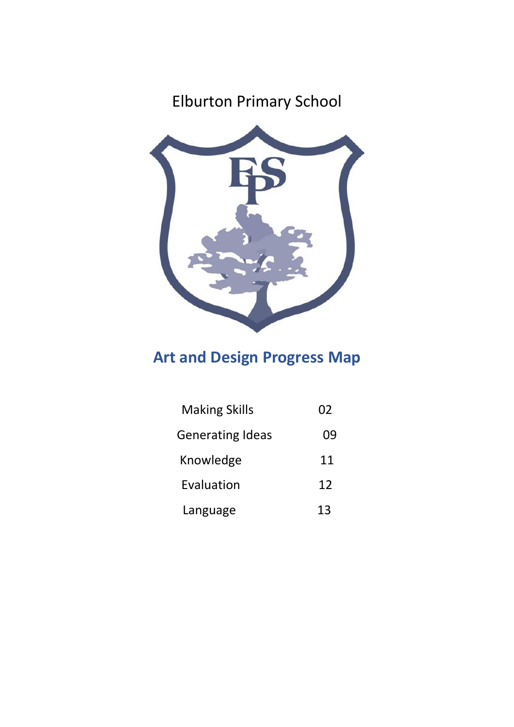## Elburton Primary School



## **Art and Design Progress Map**

| <b>Making Skills</b>    | 02 |
|-------------------------|----|
| <b>Generating Ideas</b> | 09 |
| Knowledge               | 11 |
| Evaluation              | 12 |
| Language                | 13 |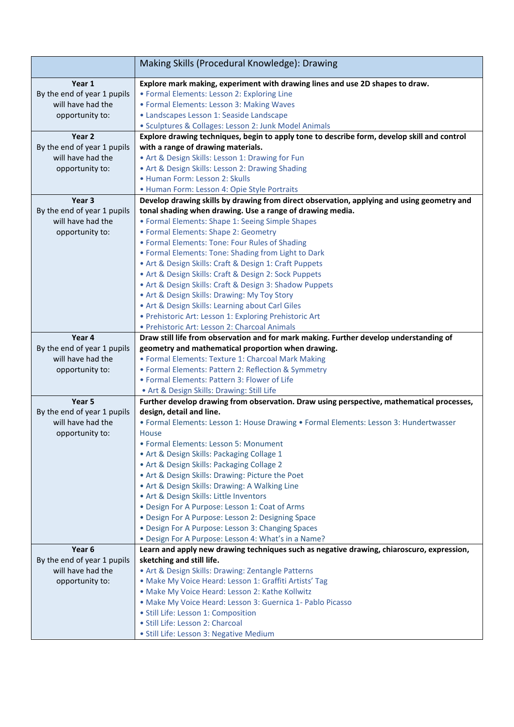|                                                  | Making Skills (Procedural Knowledge): Drawing                                                                                                           |
|--------------------------------------------------|---------------------------------------------------------------------------------------------------------------------------------------------------------|
| Year 1                                           | Explore mark making, experiment with drawing lines and use 2D shapes to draw.                                                                           |
| By the end of year 1 pupils                      | • Formal Elements: Lesson 2: Exploring Line                                                                                                             |
| will have had the                                | · Formal Elements: Lesson 3: Making Waves                                                                                                               |
| opportunity to:                                  | · Landscapes Lesson 1: Seaside Landscape                                                                                                                |
|                                                  | · Sculptures & Collages: Lesson 2: Junk Model Animals                                                                                                   |
| Year <sub>2</sub>                                | Explore drawing techniques, begin to apply tone to describe form, develop skill and control                                                             |
| By the end of year 1 pupils                      | with a range of drawing materials.                                                                                                                      |
| will have had the                                | • Art & Design Skills: Lesson 1: Drawing for Fun                                                                                                        |
| opportunity to:                                  | • Art & Design Skills: Lesson 2: Drawing Shading                                                                                                        |
|                                                  | . Human Form: Lesson 2: Skulls                                                                                                                          |
| Year <sub>3</sub>                                | • Human Form: Lesson 4: Opie Style Portraits                                                                                                            |
|                                                  | Develop drawing skills by drawing from direct observation, applying and using geometry and<br>tonal shading when drawing. Use a range of drawing media. |
| By the end of year 1 pupils<br>will have had the | • Formal Elements: Shape 1: Seeing Simple Shapes                                                                                                        |
|                                                  | • Formal Elements: Shape 2: Geometry                                                                                                                    |
| opportunity to:                                  | • Formal Elements: Tone: Four Rules of Shading                                                                                                          |
|                                                  | • Formal Elements: Tone: Shading from Light to Dark                                                                                                     |
|                                                  | • Art & Design Skills: Craft & Design 1: Craft Puppets                                                                                                  |
|                                                  | • Art & Design Skills: Craft & Design 2: Sock Puppets                                                                                                   |
|                                                  | • Art & Design Skills: Craft & Design 3: Shadow Puppets                                                                                                 |
|                                                  | • Art & Design Skills: Drawing: My Toy Story                                                                                                            |
|                                                  | . Art & Design Skills: Learning about Carl Giles                                                                                                        |
|                                                  | · Prehistoric Art: Lesson 1: Exploring Prehistoric Art                                                                                                  |
|                                                  | · Prehistoric Art: Lesson 2: Charcoal Animals                                                                                                           |
| Year 4                                           | Draw still life from observation and for mark making. Further develop understanding of                                                                  |
| By the end of year 1 pupils                      | geometry and mathematical proportion when drawing.                                                                                                      |
| will have had the                                | • Formal Elements: Texture 1: Charcoal Mark Making                                                                                                      |
| opportunity to:                                  | • Formal Elements: Pattern 2: Reflection & Symmetry                                                                                                     |
|                                                  | · Formal Elements: Pattern 3: Flower of Life                                                                                                            |
|                                                  | . Art & Design Skills: Drawing: Still Life                                                                                                              |
| Year <sub>5</sub>                                | Further develop drawing from observation. Draw using perspective, mathematical processes,                                                               |
| By the end of year 1 pupils                      | design, detail and line.                                                                                                                                |
| will have had the                                | • Formal Elements: Lesson 1: House Drawing • Formal Elements: Lesson 3: Hundertwasser                                                                   |
| opportunity to:                                  | House                                                                                                                                                   |
|                                                  | · Formal Elements: Lesson 5: Monument                                                                                                                   |
|                                                  | . Art & Design Skills: Packaging Collage 1                                                                                                              |
|                                                  | . Art & Design Skills: Packaging Collage 2                                                                                                              |
|                                                  | • Art & Design Skills: Drawing: Picture the Poet                                                                                                        |
|                                                  | • Art & Design Skills: Drawing: A Walking Line                                                                                                          |
|                                                  | . Art & Design Skills: Little Inventors                                                                                                                 |
|                                                  | . Design For A Purpose: Lesson 1: Coat of Arms<br>· Design For A Purpose: Lesson 2: Designing Space                                                     |
|                                                  | • Design For A Purpose: Lesson 3: Changing Spaces                                                                                                       |
|                                                  | . Design For A Purpose: Lesson 4: What's in a Name?                                                                                                     |
| Year <sub>6</sub>                                | Learn and apply new drawing techniques such as negative drawing, chiaroscuro, expression,                                                               |
| By the end of year 1 pupils                      | sketching and still life.                                                                                                                               |
| will have had the                                | • Art & Design Skills: Drawing: Zentangle Patterns                                                                                                      |
| opportunity to:                                  | · Make My Voice Heard: Lesson 1: Graffiti Artists' Tag                                                                                                  |
|                                                  | • Make My Voice Heard: Lesson 2: Kathe Kollwitz                                                                                                         |
|                                                  | · Make My Voice Heard: Lesson 3: Guernica 1- Pablo Picasso                                                                                              |
|                                                  | · Still Life: Lesson 1: Composition                                                                                                                     |
|                                                  | · Still Life: Lesson 2: Charcoal                                                                                                                        |
|                                                  | · Still Life: Lesson 3: Negative Medium                                                                                                                 |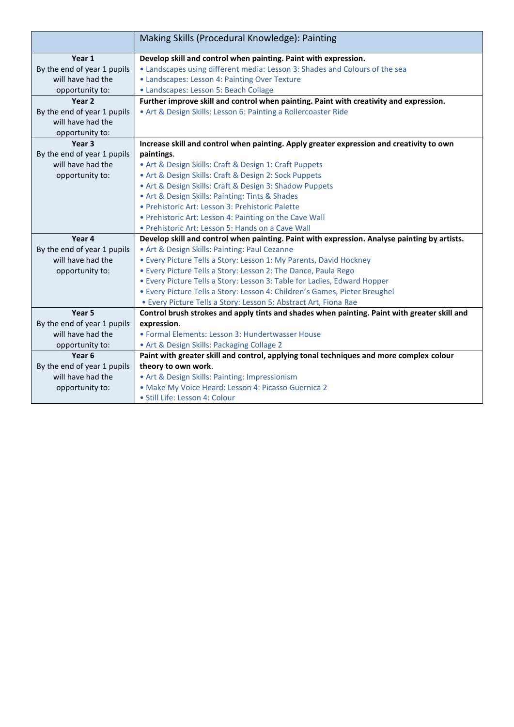|                             | Making Skills (Procedural Knowledge): Painting                                               |
|-----------------------------|----------------------------------------------------------------------------------------------|
| Year 1                      | Develop skill and control when painting. Paint with expression.                              |
| By the end of year 1 pupils | • Landscapes using different media: Lesson 3: Shades and Colours of the sea                  |
| will have had the           | • Landscapes: Lesson 4: Painting Over Texture                                                |
| opportunity to:             | • Landscapes: Lesson 5: Beach Collage                                                        |
| Year <sub>2</sub>           | Further improve skill and control when painting. Paint with creativity and expression.       |
| By the end of year 1 pupils | • Art & Design Skills: Lesson 6: Painting a Rollercoaster Ride                               |
| will have had the           |                                                                                              |
| opportunity to:             |                                                                                              |
| Year <sub>3</sub>           | Increase skill and control when painting. Apply greater expression and creativity to own     |
| By the end of year 1 pupils | paintings.                                                                                   |
| will have had the           | • Art & Design Skills: Craft & Design 1: Craft Puppets                                       |
| opportunity to:             | • Art & Design Skills: Craft & Design 2: Sock Puppets                                        |
|                             | • Art & Design Skills: Craft & Design 3: Shadow Puppets                                      |
|                             | • Art & Design Skills: Painting: Tints & Shades                                              |
|                             | • Prehistoric Art: Lesson 3: Prehistoric Palette                                             |
|                             | • Prehistoric Art: Lesson 4: Painting on the Cave Wall                                       |
|                             | • Prehistoric Art: Lesson 5: Hands on a Cave Wall                                            |
| Year 4                      | Develop skill and control when painting. Paint with expression. Analyse painting by artists. |
| By the end of year 1 pupils | • Art & Design Skills: Painting: Paul Cezanne                                                |
| will have had the           | • Every Picture Tells a Story: Lesson 1: My Parents, David Hockney                           |
| opportunity to:             | • Every Picture Tells a Story: Lesson 2: The Dance, Paula Rego                               |
|                             | • Every Picture Tells a Story: Lesson 3: Table for Ladies, Edward Hopper                     |
|                             | · Every Picture Tells a Story: Lesson 4: Children's Games, Pieter Breughel                   |
|                             | • Every Picture Tells a Story: Lesson 5: Abstract Art, Fiona Rae                             |
| Year 5                      | Control brush strokes and apply tints and shades when painting. Paint with greater skill and |
| By the end of year 1 pupils | expression.                                                                                  |
| will have had the           | • Formal Elements: Lesson 3: Hundertwasser House                                             |
| opportunity to:             | . Art & Design Skills: Packaging Collage 2                                                   |
| Year <sub>6</sub>           | Paint with greater skill and control, applying tonal techniques and more complex colour      |
| By the end of year 1 pupils | theory to own work.                                                                          |
| will have had the           | • Art & Design Skills: Painting: Impressionism                                               |
| opportunity to:             | · Make My Voice Heard: Lesson 4: Picasso Guernica 2                                          |
|                             | · Still Life: Lesson 4: Colour                                                               |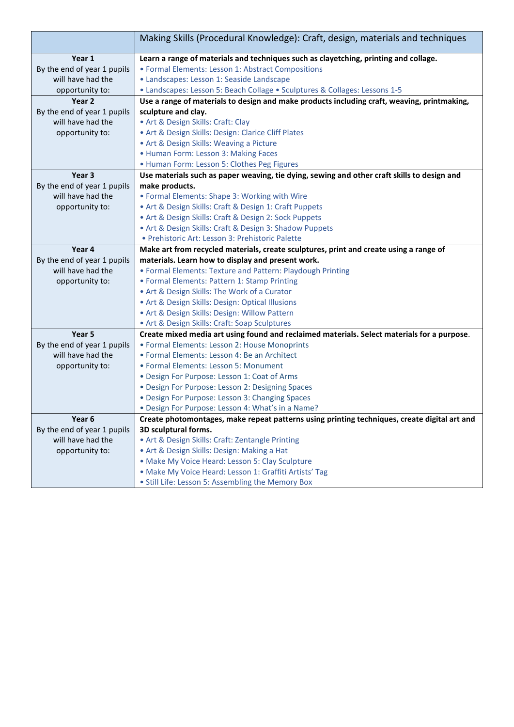|                             | Making Skills (Procedural Knowledge): Craft, design, materials and techniques                |
|-----------------------------|----------------------------------------------------------------------------------------------|
| Year 1                      | Learn a range of materials and techniques such as clayetching, printing and collage.         |
| By the end of year 1 pupils | • Formal Elements: Lesson 1: Abstract Compositions                                           |
| will have had the           | · Landscapes: Lesson 1: Seaside Landscape                                                    |
| opportunity to:             | • Landscapes: Lesson 5: Beach Collage • Sculptures & Collages: Lessons 1-5                   |
| Year <sub>2</sub>           | Use a range of materials to design and make products including craft, weaving, printmaking,  |
| By the end of year 1 pupils | sculpture and clay.                                                                          |
| will have had the           | • Art & Design Skills: Craft: Clay                                                           |
| opportunity to:             | • Art & Design Skills: Design: Clarice Cliff Plates                                          |
|                             | • Art & Design Skills: Weaving a Picture                                                     |
|                             | • Human Form: Lesson 3: Making Faces                                                         |
|                             | • Human Form: Lesson 5: Clothes Peg Figures                                                  |
| Year 3                      | Use materials such as paper weaving, tie dying, sewing and other craft skills to design and  |
| By the end of year 1 pupils | make products.                                                                               |
| will have had the           | • Formal Elements: Shape 3: Working with Wire                                                |
| opportunity to:             | • Art & Design Skills: Craft & Design 1: Craft Puppets                                       |
|                             | • Art & Design Skills: Craft & Design 2: Sock Puppets                                        |
|                             | • Art & Design Skills: Craft & Design 3: Shadow Puppets                                      |
|                             | · Prehistoric Art: Lesson 3: Prehistoric Palette                                             |
| Year 4                      | Make art from recycled materials, create sculptures, print and create using a range of       |
| By the end of year 1 pupils | materials. Learn how to display and present work.                                            |
| will have had the           | • Formal Elements: Texture and Pattern: Playdough Printing                                   |
| opportunity to:             | • Formal Elements: Pattern 1: Stamp Printing                                                 |
|                             | . Art & Design Skills: The Work of a Curator                                                 |
|                             | • Art & Design Skills: Design: Optical Illusions                                             |
|                             | . Art & Design Skills: Design: Willow Pattern                                                |
|                             | • Art & Design Skills: Craft: Soap Sculptures                                                |
| Year <sub>5</sub>           | Create mixed media art using found and reclaimed materials. Select materials for a purpose.  |
| By the end of year 1 pupils | • Formal Elements: Lesson 2: House Monoprints                                                |
| will have had the           | • Formal Elements: Lesson 4: Be an Architect                                                 |
| opportunity to:             | • Formal Elements: Lesson 5: Monument                                                        |
|                             | • Design For Purpose: Lesson 1: Coat of Arms                                                 |
|                             | · Design For Purpose: Lesson 2: Designing Spaces                                             |
|                             | • Design For Purpose: Lesson 3: Changing Spaces                                              |
|                             | • Design For Purpose: Lesson 4: What's in a Name?                                            |
| Year 6                      | Create photomontages, make repeat patterns using printing techniques, create digital art and |
| By the end of year 1 pupils | 3D sculptural forms.                                                                         |
| will have had the           | . Art & Design Skills: Craft: Zentangle Printing                                             |
| opportunity to:             | • Art & Design Skills: Design: Making a Hat                                                  |
|                             | · Make My Voice Heard: Lesson 5: Clay Sculpture                                              |
|                             | · Make My Voice Heard: Lesson 1: Graffiti Artists' Tag                                       |
|                             | • Still Life: Lesson 5: Assembling the Memory Box                                            |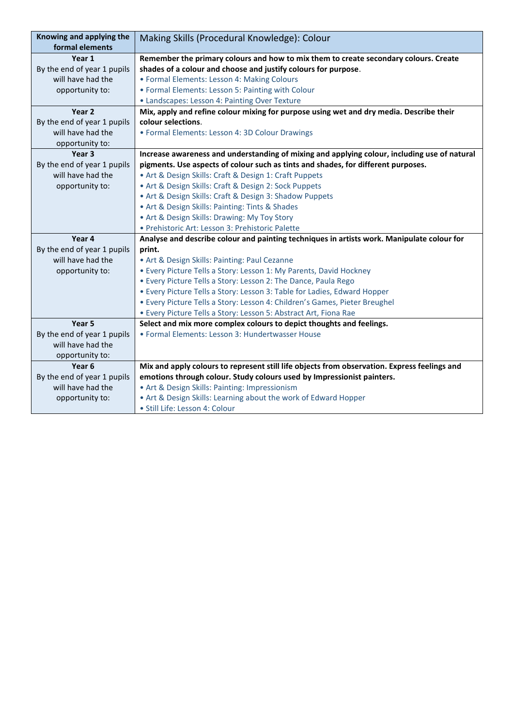| Knowing and applying the<br>formal elements | Making Skills (Procedural Knowledge): Colour                                                 |
|---------------------------------------------|----------------------------------------------------------------------------------------------|
| Year 1                                      | Remember the primary colours and how to mix them to create secondary colours. Create         |
| By the end of year 1 pupils                 | shades of a colour and choose and justify colours for purpose.                               |
| will have had the                           | • Formal Elements: Lesson 4: Making Colours                                                  |
| opportunity to:                             | • Formal Elements: Lesson 5: Painting with Colour                                            |
|                                             | • Landscapes: Lesson 4: Painting Over Texture                                                |
| Year 2                                      | Mix, apply and refine colour mixing for purpose using wet and dry media. Describe their      |
| By the end of year 1 pupils                 | colour selections.                                                                           |
| will have had the                           | • Formal Elements: Lesson 4: 3D Colour Drawings                                              |
| opportunity to:                             |                                                                                              |
| Year <sub>3</sub>                           | Increase awareness and understanding of mixing and applying colour, including use of natural |
| By the end of year 1 pupils                 | pigments. Use aspects of colour such as tints and shades, for different purposes.            |
| will have had the                           | • Art & Design Skills: Craft & Design 1: Craft Puppets                                       |
| opportunity to:                             | • Art & Design Skills: Craft & Design 2: Sock Puppets                                        |
|                                             | • Art & Design Skills: Craft & Design 3: Shadow Puppets                                      |
|                                             | • Art & Design Skills: Painting: Tints & Shades                                              |
|                                             | • Art & Design Skills: Drawing: My Toy Story                                                 |
|                                             | · Prehistoric Art: Lesson 3: Prehistoric Palette                                             |
| Year 4                                      | Analyse and describe colour and painting techniques in artists work. Manipulate colour for   |
| By the end of year 1 pupils                 | print.                                                                                       |
| will have had the                           | • Art & Design Skills: Painting: Paul Cezanne                                                |
| opportunity to:                             | • Every Picture Tells a Story: Lesson 1: My Parents, David Hockney                           |
|                                             | . Every Picture Tells a Story: Lesson 2: The Dance, Paula Rego                               |
|                                             | • Every Picture Tells a Story: Lesson 3: Table for Ladies, Edward Hopper                     |
|                                             | · Every Picture Tells a Story: Lesson 4: Children's Games, Pieter Breughel                   |
|                                             | • Every Picture Tells a Story: Lesson 5: Abstract Art, Fiona Rae                             |
| Year 5                                      | Select and mix more complex colours to depict thoughts and feelings.                         |
| By the end of year 1 pupils                 | • Formal Elements: Lesson 3: Hundertwasser House                                             |
| will have had the                           |                                                                                              |
| opportunity to:                             |                                                                                              |
| Year 6                                      | Mix and apply colours to represent still life objects from observation. Express feelings and |
| By the end of year 1 pupils                 | emotions through colour. Study colours used by Impressionist painters.                       |
| will have had the                           | • Art & Design Skills: Painting: Impressionism                                               |
| opportunity to:                             | • Art & Design Skills: Learning about the work of Edward Hopper                              |
|                                             | · Still Life: Lesson 4: Colour                                                               |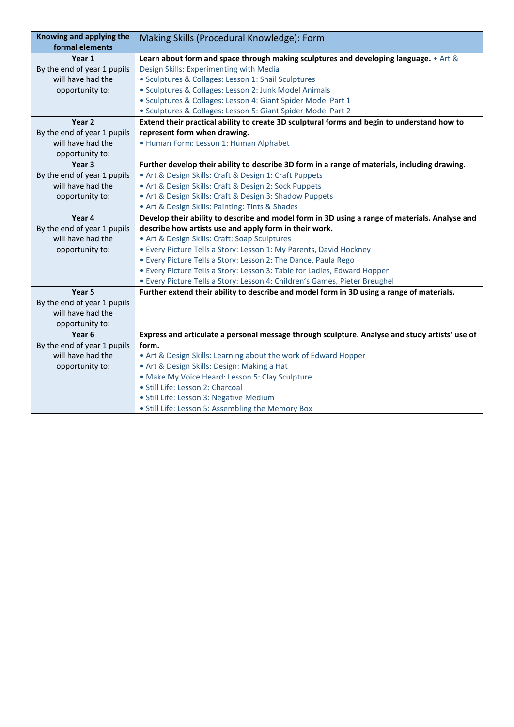| Knowing and applying the    | Making Skills (Procedural Knowledge): Form                                                     |
|-----------------------------|------------------------------------------------------------------------------------------------|
| formal elements             |                                                                                                |
| Year 1                      | Learn about form and space through making sculptures and developing language. • Art &          |
| By the end of year 1 pupils | Design Skills: Experimenting with Media                                                        |
| will have had the           | • Sculptures & Collages: Lesson 1: Snail Sculptures                                            |
| opportunity to:             | · Sculptures & Collages: Lesson 2: Junk Model Animals                                          |
|                             | · Sculptures & Collages: Lesson 4: Giant Spider Model Part 1                                   |
|                             | • Sculptures & Collages: Lesson 5: Giant Spider Model Part 2                                   |
| Year <sub>2</sub>           | Extend their practical ability to create 3D sculptural forms and begin to understand how to    |
| By the end of year 1 pupils | represent form when drawing.                                                                   |
| will have had the           | · Human Form: Lesson 1: Human Alphabet                                                         |
| opportunity to:             |                                                                                                |
| Year 3                      | Further develop their ability to describe 3D form in a range of materials, including drawing.  |
| By the end of year 1 pupils | • Art & Design Skills: Craft & Design 1: Craft Puppets                                         |
| will have had the           | • Art & Design Skills: Craft & Design 2: Sock Puppets                                          |
| opportunity to:             | • Art & Design Skills: Craft & Design 3: Shadow Puppets                                        |
|                             | • Art & Design Skills: Painting: Tints & Shades                                                |
| Year 4                      | Develop their ability to describe and model form in 3D using a range of materials. Analyse and |
| By the end of year 1 pupils | describe how artists use and apply form in their work.                                         |
| will have had the           | • Art & Design Skills: Craft: Soap Sculptures                                                  |
| opportunity to:             | • Every Picture Tells a Story: Lesson 1: My Parents, David Hockney                             |
|                             | . Every Picture Tells a Story: Lesson 2: The Dance, Paula Rego                                 |
|                             | • Every Picture Tells a Story: Lesson 3: Table for Ladies, Edward Hopper                       |
|                             | · Every Picture Tells a Story: Lesson 4: Children's Games, Pieter Breughel                     |
| Year 5                      | Further extend their ability to describe and model form in 3D using a range of materials.      |
| By the end of year 1 pupils |                                                                                                |
| will have had the           |                                                                                                |
| opportunity to:             |                                                                                                |
| Year <sub>6</sub>           | Express and articulate a personal message through sculpture. Analyse and study artists' use of |
| By the end of year 1 pupils | form.                                                                                          |
| will have had the           | • Art & Design Skills: Learning about the work of Edward Hopper                                |
| opportunity to:             | • Art & Design Skills: Design: Making a Hat                                                    |
|                             | · Make My Voice Heard: Lesson 5: Clay Sculpture                                                |
|                             | • Still Life: Lesson 2: Charcoal                                                               |
|                             | · Still Life: Lesson 3: Negative Medium                                                        |
|                             | · Still Life: Lesson 5: Assembling the Memory Box                                              |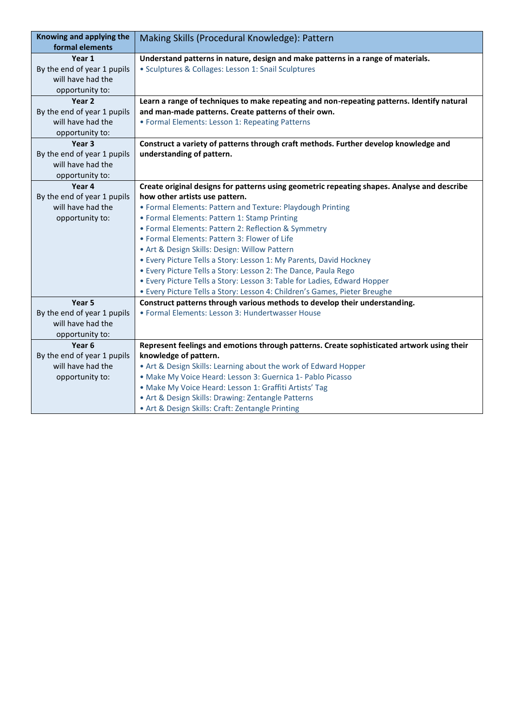| Knowing and applying the<br>formal elements      | Making Skills (Procedural Knowledge): Pattern                                                                       |
|--------------------------------------------------|---------------------------------------------------------------------------------------------------------------------|
| Year 1                                           | Understand patterns in nature, design and make patterns in a range of materials.                                    |
| By the end of year 1 pupils                      | • Sculptures & Collages: Lesson 1: Snail Sculptures                                                                 |
| will have had the                                |                                                                                                                     |
| opportunity to:                                  |                                                                                                                     |
| Year <sub>2</sub>                                | Learn a range of techniques to make repeating and non-repeating patterns. Identify natural                          |
| By the end of year 1 pupils                      | and man-made patterns. Create patterns of their own.                                                                |
| will have had the                                | • Formal Elements: Lesson 1: Repeating Patterns                                                                     |
| opportunity to:                                  |                                                                                                                     |
| Year 3                                           | Construct a variety of patterns through craft methods. Further develop knowledge and                                |
| By the end of year 1 pupils                      | understanding of pattern.                                                                                           |
| will have had the                                |                                                                                                                     |
| opportunity to:                                  |                                                                                                                     |
| Year 4                                           | Create original designs for patterns using geometric repeating shapes. Analyse and describe                         |
| By the end of year 1 pupils                      | how other artists use pattern.                                                                                      |
| will have had the                                | • Formal Elements: Pattern and Texture: Playdough Printing                                                          |
| opportunity to:                                  | • Formal Elements: Pattern 1: Stamp Printing                                                                        |
|                                                  | • Formal Elements: Pattern 2: Reflection & Symmetry                                                                 |
|                                                  | • Formal Elements: Pattern 3: Flower of Life                                                                        |
|                                                  | • Art & Design Skills: Design: Willow Pattern                                                                       |
|                                                  | • Every Picture Tells a Story: Lesson 1: My Parents, David Hockney                                                  |
|                                                  | • Every Picture Tells a Story: Lesson 2: The Dance, Paula Rego                                                      |
|                                                  | • Every Picture Tells a Story: Lesson 3: Table for Ladies, Edward Hopper                                            |
|                                                  | · Every Picture Tells a Story: Lesson 4: Children's Games, Pieter Breughe                                           |
| Year 5                                           | Construct patterns through various methods to develop their understanding.                                          |
| By the end of year 1 pupils                      | • Formal Elements: Lesson 3: Hundertwasser House                                                                    |
| will have had the                                |                                                                                                                     |
| opportunity to:                                  |                                                                                                                     |
| Year <sub>6</sub><br>By the end of year 1 pupils | Represent feelings and emotions through patterns. Create sophisticated artwork using their<br>knowledge of pattern. |
| will have had the                                | • Art & Design Skills: Learning about the work of Edward Hopper                                                     |
| opportunity to:                                  | · Make My Voice Heard: Lesson 3: Guernica 1- Pablo Picasso                                                          |
|                                                  | · Make My Voice Heard: Lesson 1: Graffiti Artists' Tag                                                              |
|                                                  | • Art & Design Skills: Drawing: Zentangle Patterns                                                                  |
|                                                  | • Art & Design Skills: Craft: Zentangle Printing                                                                    |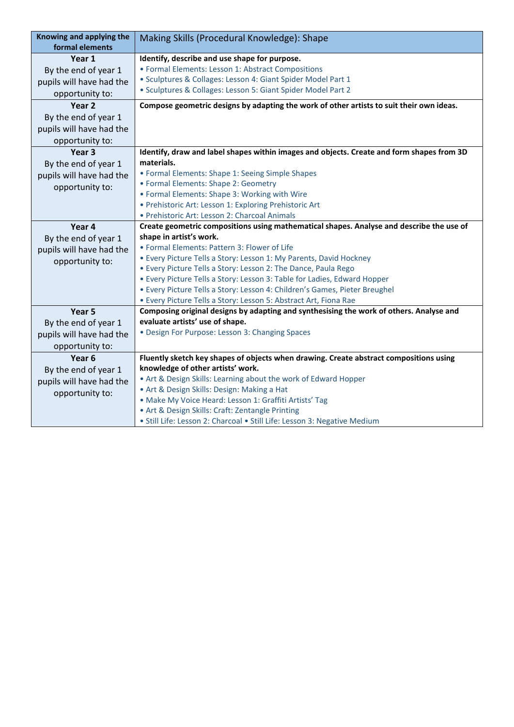| Knowing and applying the<br>formal elements | Making Skills (Procedural Knowledge): Shape                                                                         |
|---------------------------------------------|---------------------------------------------------------------------------------------------------------------------|
| Year 1                                      | Identify, describe and use shape for purpose.                                                                       |
| By the end of year 1                        | • Formal Elements: Lesson 1: Abstract Compositions                                                                  |
| pupils will have had the                    | · Sculptures & Collages: Lesson 4: Giant Spider Model Part 1                                                        |
| opportunity to:                             | · Sculptures & Collages: Lesson 5: Giant Spider Model Part 2                                                        |
| Year <sub>2</sub>                           | Compose geometric designs by adapting the work of other artists to suit their own ideas.                            |
|                                             |                                                                                                                     |
| By the end of year 1                        |                                                                                                                     |
| pupils will have had the                    |                                                                                                                     |
| opportunity to:                             |                                                                                                                     |
| Year <sub>3</sub>                           | Identify, draw and label shapes within images and objects. Create and form shapes from 3D                           |
| By the end of year 1                        | materials.                                                                                                          |
| pupils will have had the                    | • Formal Elements: Shape 1: Seeing Simple Shapes                                                                    |
| opportunity to:                             | • Formal Elements: Shape 2: Geometry                                                                                |
|                                             | • Formal Elements: Shape 3: Working with Wire                                                                       |
|                                             | · Prehistoric Art: Lesson 1: Exploring Prehistoric Art                                                              |
|                                             | · Prehistoric Art: Lesson 2: Charcoal Animals                                                                       |
| Year 4                                      | Create geometric compositions using mathematical shapes. Analyse and describe the use of<br>shape in artist's work. |
| By the end of year 1                        | · Formal Elements: Pattern 3: Flower of Life                                                                        |
| pupils will have had the                    | • Every Picture Tells a Story: Lesson 1: My Parents, David Hockney                                                  |
| opportunity to:                             | • Every Picture Tells a Story: Lesson 2: The Dance, Paula Rego                                                      |
|                                             | • Every Picture Tells a Story: Lesson 3: Table for Ladies, Edward Hopper                                            |
|                                             | · Every Picture Tells a Story: Lesson 4: Children's Games, Pieter Breughel                                          |
|                                             | • Every Picture Tells a Story: Lesson 5: Abstract Art, Fiona Rae                                                    |
| Year 5                                      | Composing original designs by adapting and synthesising the work of others. Analyse and                             |
|                                             | evaluate artists' use of shape.                                                                                     |
| By the end of year 1                        | • Design For Purpose: Lesson 3: Changing Spaces                                                                     |
| pupils will have had the                    |                                                                                                                     |
| opportunity to:                             |                                                                                                                     |
| Year <sub>6</sub>                           | Fluently sketch key shapes of objects when drawing. Create abstract compositions using                              |
| By the end of year 1                        | knowledge of other artists' work.                                                                                   |
| pupils will have had the                    | • Art & Design Skills: Learning about the work of Edward Hopper                                                     |
| opportunity to:                             | • Art & Design Skills: Design: Making a Hat                                                                         |
|                                             | · Make My Voice Heard: Lesson 1: Graffiti Artists' Tag                                                              |
|                                             | • Art & Design Skills: Craft: Zentangle Printing                                                                    |
|                                             | · Still Life: Lesson 2: Charcoal • Still Life: Lesson 3: Negative Medium                                            |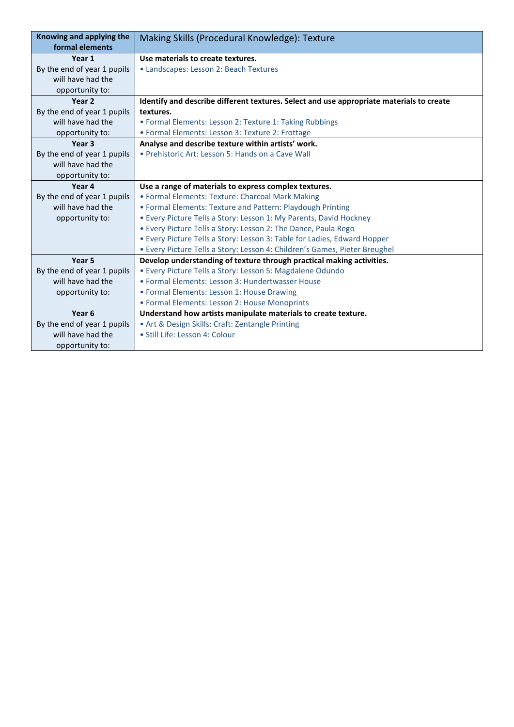| Knowing and applying the    | Making Skills (Procedural Knowledge): Texture                                            |
|-----------------------------|------------------------------------------------------------------------------------------|
| formal elements             |                                                                                          |
| Year 1                      | Use materials to create textures.                                                        |
| By the end of year 1 pupils | • Landscapes: Lesson 2: Beach Textures                                                   |
| will have had the           |                                                                                          |
| opportunity to:             |                                                                                          |
| Year <sub>2</sub>           | Identify and describe different textures. Select and use appropriate materials to create |
| By the end of year 1 pupils | textures.                                                                                |
| will have had the           | • Formal Elements: Lesson 2: Texture 1: Taking Rubbings                                  |
| opportunity to:             | • Formal Elements: Lesson 3: Texture 2: Frottage                                         |
| Year <sub>3</sub>           | Analyse and describe texture within artists' work.                                       |
| By the end of year 1 pupils | • Prehistoric Art: Lesson 5: Hands on a Cave Wall                                        |
| will have had the           |                                                                                          |
| opportunity to:             |                                                                                          |
| Year 4                      | Use a range of materials to express complex textures.                                    |
| By the end of year 1 pupils | • Formal Elements: Texture: Charcoal Mark Making                                         |
| will have had the           | • Formal Elements: Texture and Pattern: Playdough Printing                               |
| opportunity to:             | • Every Picture Tells a Story: Lesson 1: My Parents, David Hockney                       |
|                             | . Every Picture Tells a Story: Lesson 2: The Dance, Paula Rego                           |
|                             | • Every Picture Tells a Story: Lesson 3: Table for Ladies, Edward Hopper                 |
|                             | • Every Picture Tells a Story: Lesson 4: Children's Games, Pieter Breughel               |
| Year 5                      | Develop understanding of texture through practical making activities.                    |
| By the end of year 1 pupils | · Every Picture Tells a Story: Lesson 5: Magdalene Odundo                                |
| will have had the           | • Formal Elements: Lesson 3: Hundertwasser House                                         |
| opportunity to:             | • Formal Elements: Lesson 1: House Drawing                                               |
|                             | • Formal Elements: Lesson 2: House Monoprints                                            |
| Year <sub>6</sub>           | Understand how artists manipulate materials to create texture.                           |
| By the end of year 1 pupils | • Art & Design Skills: Craft: Zentangle Printing                                         |
| will have had the           | · Still Life: Lesson 4: Colour                                                           |
| opportunity to:             |                                                                                          |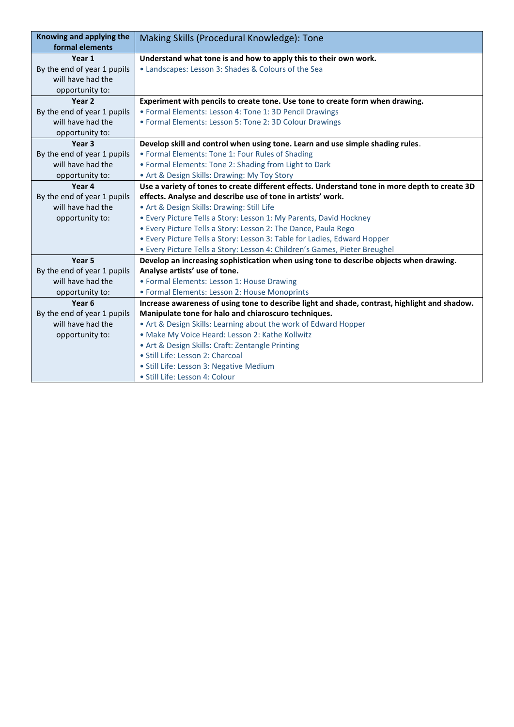| Knowing and applying the<br>formal elements | Making Skills (Procedural Knowledge): Tone                                                     |
|---------------------------------------------|------------------------------------------------------------------------------------------------|
| Year 1                                      | Understand what tone is and how to apply this to their own work.                               |
| By the end of year 1 pupils                 | • Landscapes: Lesson 3: Shades & Colours of the Sea                                            |
| will have had the                           |                                                                                                |
| opportunity to:                             |                                                                                                |
| Year 2                                      | Experiment with pencils to create tone. Use tone to create form when drawing.                  |
| By the end of year 1 pupils                 | • Formal Elements: Lesson 4: Tone 1: 3D Pencil Drawings                                        |
| will have had the                           | • Formal Elements: Lesson 5: Tone 2: 3D Colour Drawings                                        |
| opportunity to:                             |                                                                                                |
| Year 3                                      | Develop skill and control when using tone. Learn and use simple shading rules.                 |
| By the end of year 1 pupils                 | • Formal Elements: Tone 1: Four Rules of Shading                                               |
| will have had the                           | • Formal Elements: Tone 2: Shading from Light to Dark                                          |
| opportunity to:                             | • Art & Design Skills: Drawing: My Toy Story                                                   |
| Year 4                                      | Use a variety of tones to create different effects. Understand tone in more depth to create 3D |
| By the end of year 1 pupils                 | effects. Analyse and describe use of tone in artists' work.                                    |
| will have had the                           | • Art & Design Skills: Drawing: Still Life                                                     |
| opportunity to:                             | • Every Picture Tells a Story: Lesson 1: My Parents, David Hockney                             |
|                                             | . Every Picture Tells a Story: Lesson 2: The Dance, Paula Rego                                 |
|                                             | • Every Picture Tells a Story: Lesson 3: Table for Ladies, Edward Hopper                       |
|                                             | · Every Picture Tells a Story: Lesson 4: Children's Games, Pieter Breughel                     |
| Year 5                                      | Develop an increasing sophistication when using tone to describe objects when drawing.         |
| By the end of year 1 pupils                 | Analyse artists' use of tone.                                                                  |
| will have had the                           | • Formal Elements: Lesson 1: House Drawing                                                     |
| opportunity to:                             | • Formal Elements: Lesson 2: House Monoprints                                                  |
| Year 6                                      | Increase awareness of using tone to describe light and shade, contrast, highlight and shadow.  |
| By the end of year 1 pupils                 | Manipulate tone for halo and chiaroscuro techniques.                                           |
| will have had the                           | • Art & Design Skills: Learning about the work of Edward Hopper                                |
| opportunity to:                             | . Make My Voice Heard: Lesson 2: Kathe Kollwitz                                                |
|                                             | • Art & Design Skills: Craft: Zentangle Printing                                               |
|                                             | · Still Life: Lesson 2: Charcoal                                                               |
|                                             | · Still Life: Lesson 3: Negative Medium                                                        |
|                                             | · Still Life: Lesson 4: Colour                                                                 |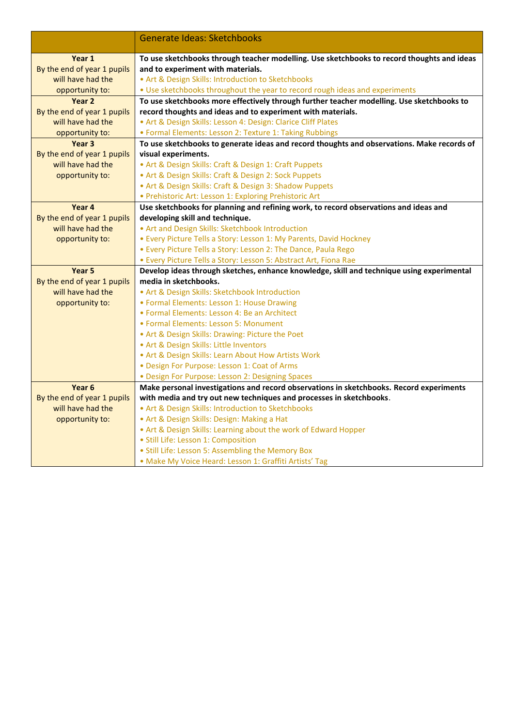|                                                  | <b>Generate Ideas: Sketchbooks</b>                                                         |
|--------------------------------------------------|--------------------------------------------------------------------------------------------|
|                                                  |                                                                                            |
| Year 1                                           | To use sketchbooks through teacher modelling. Use sketchbooks to record thoughts and ideas |
| By the end of year 1 pupils                      | and to experiment with materials.                                                          |
| will have had the                                | • Art & Design Skills: Introduction to Sketchbooks                                         |
| opportunity to:                                  | . Use sketchbooks throughout the year to record rough ideas and experiments                |
| Year <sub>2</sub>                                | To use sketchbooks more effectively through further teacher modelling. Use sketchbooks to  |
| By the end of year 1 pupils                      | record thoughts and ideas and to experiment with materials.                                |
| will have had the                                | • Art & Design Skills: Lesson 4: Design: Clarice Cliff Plates                              |
| opportunity to:                                  | • Formal Elements: Lesson 2: Texture 1: Taking Rubbings                                    |
| Year <sub>3</sub>                                | To use sketchbooks to generate ideas and record thoughts and observations. Make records of |
| By the end of year 1 pupils                      | visual experiments.                                                                        |
| will have had the                                | • Art & Design Skills: Craft & Design 1: Craft Puppets                                     |
| opportunity to:                                  | • Art & Design Skills: Craft & Design 2: Sock Puppets                                      |
|                                                  | • Art & Design Skills: Craft & Design 3: Shadow Puppets                                    |
|                                                  | · Prehistoric Art: Lesson 1: Exploring Prehistoric Art                                     |
| Year 4                                           | Use sketchbooks for planning and refining work, to record observations and ideas and       |
| By the end of year 1 pupils<br>will have had the | developing skill and technique.<br>. Art and Design Skills: Sketchbook Introduction        |
| opportunity to:                                  | • Every Picture Tells a Story: Lesson 1: My Parents, David Hockney                         |
|                                                  | . Every Picture Tells a Story: Lesson 2: The Dance, Paula Rego                             |
|                                                  | • Every Picture Tells a Story: Lesson 5: Abstract Art, Fiona Rae                           |
| Year <sub>5</sub>                                | Develop ideas through sketches, enhance knowledge, skill and technique using experimental  |
| By the end of year 1 pupils                      | media in sketchbooks.                                                                      |
| will have had the                                | • Art & Design Skills: Sketchbook Introduction                                             |
| opportunity to:                                  | • Formal Elements: Lesson 1: House Drawing                                                 |
|                                                  | • Formal Elements: Lesson 4: Be an Architect                                               |
|                                                  | • Formal Elements: Lesson 5: Monument                                                      |
|                                                  | • Art & Design Skills: Drawing: Picture the Poet                                           |
|                                                  | . Art & Design Skills: Little Inventors                                                    |
|                                                  | . Art & Design Skills: Learn About How Artists Work                                        |
|                                                  | · Design For Purpose: Lesson 1: Coat of Arms                                               |
|                                                  | · Design For Purpose: Lesson 2: Designing Spaces                                           |
| Year <sub>6</sub>                                | Make personal investigations and record observations in sketchbooks. Record experiments    |
| By the end of year 1 pupils                      | with media and try out new techniques and processes in sketchbooks.                        |
| will have had the                                | • Art & Design Skills: Introduction to Sketchbooks                                         |
| opportunity to:                                  | • Art & Design Skills: Design: Making a Hat                                                |
|                                                  | • Art & Design Skills: Learning about the work of Edward Hopper                            |
|                                                  | · Still Life: Lesson 1: Composition                                                        |
|                                                  | • Still Life: Lesson 5: Assembling the Memory Box                                          |
|                                                  | · Make My Voice Heard: Lesson 1: Graffiti Artists' Tag                                     |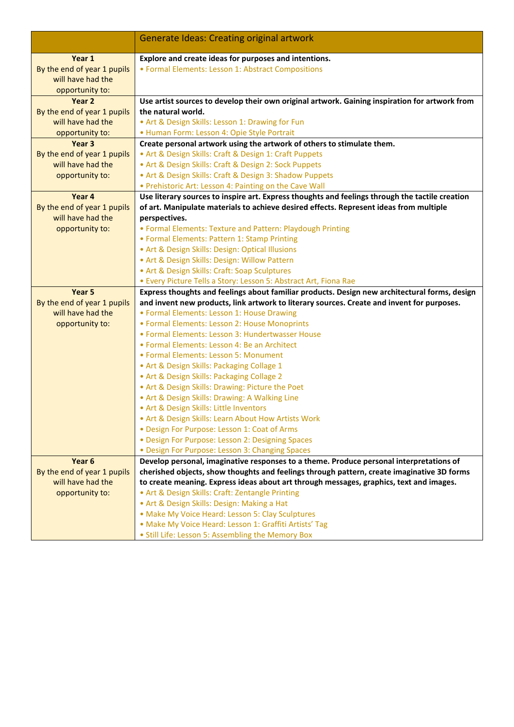|                             | <b>Generate Ideas: Creating original artwork</b>                                                                                                                  |
|-----------------------------|-------------------------------------------------------------------------------------------------------------------------------------------------------------------|
| Year 1                      | Explore and create ideas for purposes and intentions.                                                                                                             |
| By the end of year 1 pupils | • Formal Elements: Lesson 1: Abstract Compositions                                                                                                                |
| will have had the           |                                                                                                                                                                   |
| opportunity to:             |                                                                                                                                                                   |
| Year 2                      | Use artist sources to develop their own original artwork. Gaining inspiration for artwork from                                                                    |
| By the end of year 1 pupils | the natural world.                                                                                                                                                |
| will have had the           | • Art & Design Skills: Lesson 1: Drawing for Fun                                                                                                                  |
| opportunity to:             | · Human Form: Lesson 4: Opie Style Portrait                                                                                                                       |
| Year <sub>3</sub>           | Create personal artwork using the artwork of others to stimulate them.                                                                                            |
| By the end of year 1 pupils | • Art & Design Skills: Craft & Design 1: Craft Puppets                                                                                                            |
| will have had the           | • Art & Design Skills: Craft & Design 2: Sock Puppets                                                                                                             |
| opportunity to:             | • Art & Design Skills: Craft & Design 3: Shadow Puppets                                                                                                           |
|                             | . Prehistoric Art: Lesson 4: Painting on the Cave Wall                                                                                                            |
| Year 4                      | Use literary sources to inspire art. Express thoughts and feelings through the tactile creation                                                                   |
| By the end of year 1 pupils | of art. Manipulate materials to achieve desired effects. Represent ideas from multiple                                                                            |
| will have had the           | perspectives.                                                                                                                                                     |
| opportunity to:             | • Formal Elements: Texture and Pattern: Playdough Printing                                                                                                        |
|                             | • Formal Elements: Pattern 1: Stamp Printing                                                                                                                      |
|                             | • Art & Design Skills: Design: Optical Illusions                                                                                                                  |
|                             | • Art & Design Skills: Design: Willow Pattern                                                                                                                     |
|                             | • Art & Design Skills: Craft: Soap Sculptures                                                                                                                     |
| Year 5                      | • Every Picture Tells a Story: Lesson 5: Abstract Art, Fiona Rae<br>Express thoughts and feelings about familiar products. Design new architectural forms, design |
| By the end of year 1 pupils | and invent new products, link artwork to literary sources. Create and invent for purposes.                                                                        |
| will have had the           | • Formal Elements: Lesson 1: House Drawing                                                                                                                        |
| opportunity to:             | • Formal Elements: Lesson 2: House Monoprints                                                                                                                     |
|                             | • Formal Elements: Lesson 3: Hundertwasser House                                                                                                                  |
|                             | • Formal Elements: Lesson 4: Be an Architect                                                                                                                      |
|                             | • Formal Elements: Lesson 5: Monument                                                                                                                             |
|                             | . Art & Design Skills: Packaging Collage 1                                                                                                                        |
|                             | . Art & Design Skills: Packaging Collage 2                                                                                                                        |
|                             | • Art & Design Skills: Drawing: Picture the Poet                                                                                                                  |
|                             | • Art & Design Skills: Drawing: A Walking Line                                                                                                                    |
|                             | . Art & Design Skills: Little Inventors                                                                                                                           |
|                             | • Art & Design Skills: Learn About How Artists Work                                                                                                               |
|                             | · Design For Purpose: Lesson 1: Coat of Arms                                                                                                                      |
|                             | • Design For Purpose: Lesson 2: Designing Spaces                                                                                                                  |
|                             | • Design For Purpose: Lesson 3: Changing Spaces                                                                                                                   |
| Year <sub>6</sub>           | Develop personal, imaginative responses to a theme. Produce personal interpretations of                                                                           |
| By the end of year 1 pupils | cherished objects, show thoughts and feelings through pattern, create imaginative 3D forms                                                                        |
| will have had the           | to create meaning. Express ideas about art through messages, graphics, text and images.                                                                           |
| opportunity to:             | • Art & Design Skills: Craft: Zentangle Printing                                                                                                                  |
|                             | • Art & Design Skills: Design: Making a Hat                                                                                                                       |
|                             | • Make My Voice Heard: Lesson 5: Clay Sculptures                                                                                                                  |
|                             | · Make My Voice Heard: Lesson 1: Graffiti Artists' Tag                                                                                                            |
|                             | • Still Life: Lesson 5: Assembling the Memory Box                                                                                                                 |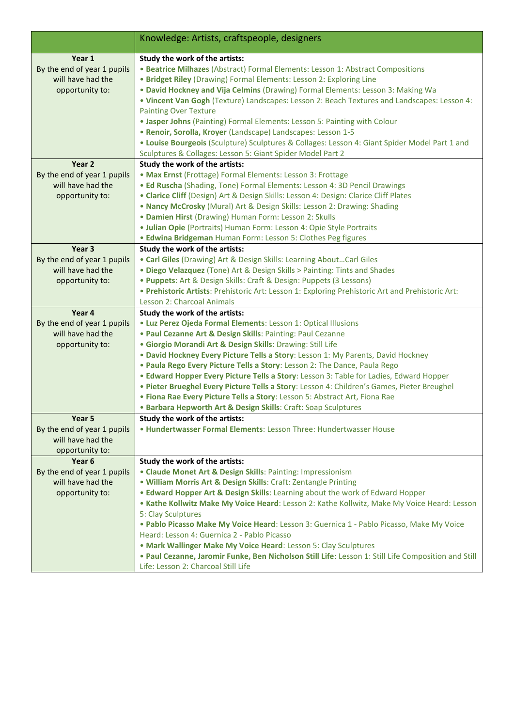|                                                  | Knowledge: Artists, craftspeople, designers                                                                                                                                  |
|--------------------------------------------------|------------------------------------------------------------------------------------------------------------------------------------------------------------------------------|
|                                                  |                                                                                                                                                                              |
| Year 1                                           | Study the work of the artists:                                                                                                                                               |
| By the end of year 1 pupils                      | • Beatrice Milhazes (Abstract) Formal Elements: Lesson 1: Abstract Compositions                                                                                              |
| will have had the                                | • Bridget Riley (Drawing) Formal Elements: Lesson 2: Exploring Line                                                                                                          |
| opportunity to:                                  | . David Hockney and Vija Celmins (Drawing) Formal Elements: Lesson 3: Making Wa                                                                                              |
|                                                  | . Vincent Van Gogh (Texture) Landscapes: Lesson 2: Beach Textures and Landscapes: Lesson 4:                                                                                  |
|                                                  | <b>Painting Over Texture</b>                                                                                                                                                 |
|                                                  | • Jasper Johns (Painting) Formal Elements: Lesson 5: Painting with Colour                                                                                                    |
|                                                  | • Renoir, Sorolla, Kroyer (Landscape) Landscapes: Lesson 1-5<br>. Louise Bourgeois (Sculpture) Sculptures & Collages: Lesson 4: Giant Spider Model Part 1 and                |
|                                                  | Sculptures & Collages: Lesson 5: Giant Spider Model Part 2                                                                                                                   |
| Year 2                                           | Study the work of the artists:                                                                                                                                               |
| By the end of year 1 pupils                      | • Max Ernst (Frottage) Formal Elements: Lesson 3: Frottage                                                                                                                   |
| will have had the                                | . Ed Ruscha (Shading, Tone) Formal Elements: Lesson 4: 3D Pencil Drawings                                                                                                    |
| opportunity to:                                  | • Clarice Cliff (Design) Art & Design Skills: Lesson 4: Design: Clarice Cliff Plates                                                                                         |
|                                                  | . Nancy McCrosky (Mural) Art & Design Skills: Lesson 2: Drawing: Shading                                                                                                     |
|                                                  | • Damien Hirst (Drawing) Human Form: Lesson 2: Skulls                                                                                                                        |
|                                                  | · Julian Opie (Portraits) Human Form: Lesson 4: Opie Style Portraits                                                                                                         |
|                                                  | • Edwina Bridgeman Human Form: Lesson 5: Clothes Peg figures                                                                                                                 |
| Year 3                                           | Study the work of the artists:                                                                                                                                               |
| By the end of year 1 pupils                      | • Carl Giles (Drawing) Art & Design Skills: Learning AboutCarl Giles                                                                                                         |
| will have had the                                | . Diego Velazquez (Tone) Art & Design Skills > Painting: Tints and Shades                                                                                                    |
| opportunity to:                                  | . Puppets: Art & Design Skills: Craft & Design: Puppets (3 Lessons)                                                                                                          |
|                                                  | . Prehistoric Artists: Prehistoric Art: Lesson 1: Exploring Prehistoric Art and Prehistoric Art:                                                                             |
|                                                  | Lesson 2: Charcoal Animals                                                                                                                                                   |
| Year 4                                           | Study the work of the artists:                                                                                                                                               |
| By the end of year 1 pupils<br>will have had the | · Luz Perez Ojeda Formal Elements: Lesson 1: Optical Illusions<br>. Paul Cezanne Art & Design Skills: Painting: Paul Cezanne                                                 |
| opportunity to:                                  | · Giorgio Morandi Art & Design Skills: Drawing: Still Life                                                                                                                   |
|                                                  | . David Hockney Every Picture Tells a Story: Lesson 1: My Parents, David Hockney                                                                                             |
|                                                  | . Paula Rego Every Picture Tells a Story: Lesson 2: The Dance, Paula Rego                                                                                                    |
|                                                  | . Edward Hopper Every Picture Tells a Story: Lesson 3: Table for Ladies, Edward Hopper                                                                                       |
|                                                  | · Pieter Brueghel Every Picture Tells a Story: Lesson 4: Children's Games, Pieter Breughel                                                                                   |
|                                                  | · Fiona Rae Every Picture Tells a Story: Lesson 5: Abstract Art, Fiona Rae                                                                                                   |
|                                                  | • Barbara Hepworth Art & Design Skills: Craft: Soap Sculptures                                                                                                               |
| Year 5                                           | Study the work of the artists:                                                                                                                                               |
| By the end of year 1 pupils                      | . Hundertwasser Formal Elements: Lesson Three: Hundertwasser House                                                                                                           |
| will have had the                                |                                                                                                                                                                              |
| opportunity to:                                  |                                                                                                                                                                              |
| Year <sub>6</sub>                                | Study the work of the artists:                                                                                                                                               |
| By the end of year 1 pupils                      | • Claude Monet Art & Design Skills: Painting: Impressionism                                                                                                                  |
| will have had the                                | . William Morris Art & Design Skills: Craft: Zentangle Printing                                                                                                              |
| opportunity to:                                  | • Edward Hopper Art & Design Skills: Learning about the work of Edward Hopper<br>. Kathe Kollwitz Make My Voice Heard: Lesson 2: Kathe Kollwitz, Make My Voice Heard: Lesson |
|                                                  | 5: Clay Sculptures                                                                                                                                                           |
|                                                  | . Pablo Picasso Make My Voice Heard: Lesson 3: Guernica 1 - Pablo Picasso, Make My Voice                                                                                     |
|                                                  | Heard: Lesson 4: Guernica 2 - Pablo Picasso                                                                                                                                  |
|                                                  | . Mark Wallinger Make My Voice Heard: Lesson 5: Clay Sculptures                                                                                                              |
|                                                  | . Paul Cezanne, Jaromir Funke, Ben Nicholson Still Life: Lesson 1: Still Life Composition and Still                                                                          |
|                                                  | Life: Lesson 2: Charcoal Still Life                                                                                                                                          |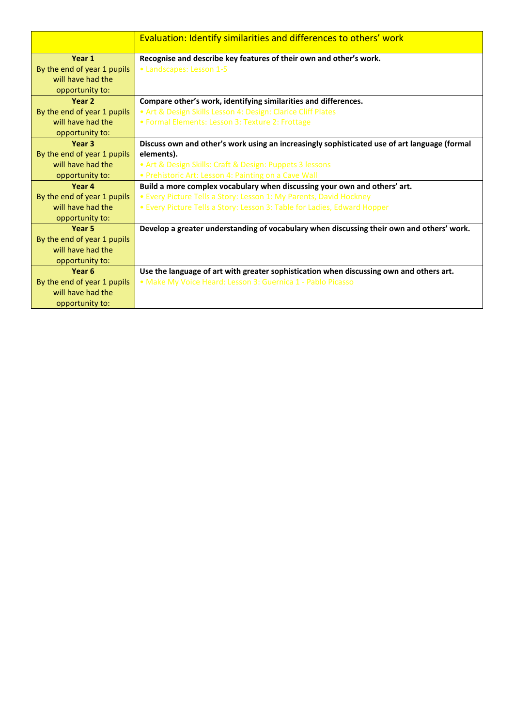|                             | Evaluation: Identify similarities and differences to others' work                            |
|-----------------------------|----------------------------------------------------------------------------------------------|
| Year 1                      | Recognise and describe key features of their own and other's work.                           |
| By the end of year 1 pupils | • Landscapes: Lesson 1-5                                                                     |
| will have had the           |                                                                                              |
| opportunity to:             |                                                                                              |
| Year 2                      | Compare other's work, identifying similarities and differences.                              |
| By the end of year 1 pupils | • Art & Design Skills Lesson 4: Design: Clarice Cliff Plates                                 |
| will have had the           | • Formal Elements: Lesson 3: Texture 2: Frottage                                             |
| opportunity to:             |                                                                                              |
| Year 3                      | Discuss own and other's work using an increasingly sophisticated use of art language (formal |
| By the end of year 1 pupils | elements).                                                                                   |
| will have had the           | • Art & Design Skills: Craft & Design: Puppets 3 lessons                                     |
| opportunity to:             | • Prehistoric Art: Lesson 4: Painting on a Cave Wall                                         |
| Year 4                      | Build a more complex vocabulary when discussing your own and others' art.                    |
| By the end of year 1 pupils | • Every Picture Tells a Story: Lesson 1: My Parents, David Hockney                           |
| will have had the           | • Every Picture Tells a Story: Lesson 3: Table for Ladies, Edward Hopper                     |
| opportunity to:             |                                                                                              |
| Year 5                      | Develop a greater understanding of vocabulary when discussing their own and others' work.    |
| By the end of year 1 pupils |                                                                                              |
| will have had the           |                                                                                              |
| opportunity to:             |                                                                                              |
| Year 6                      | Use the language of art with greater sophistication when discussing own and others art.      |
| By the end of year 1 pupils | · Make My Voice Heard: Lesson 3: Guernica 1 - Pablo Picasso                                  |
| will have had the           |                                                                                              |
| opportunity to:             |                                                                                              |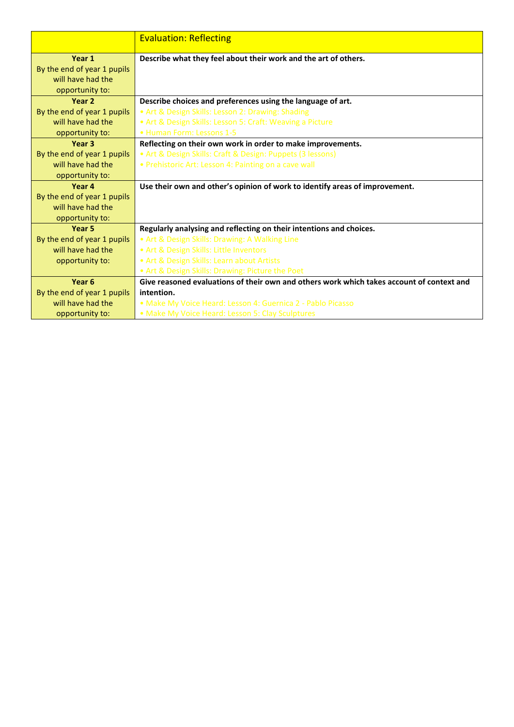|                             | <b>Evaluation: Reflecting</b>                                                             |
|-----------------------------|-------------------------------------------------------------------------------------------|
| Year 1                      | Describe what they feel about their work and the art of others.                           |
| By the end of year 1 pupils |                                                                                           |
| will have had the           |                                                                                           |
| opportunity to:             |                                                                                           |
| Year 2                      | Describe choices and preferences using the language of art.                               |
| By the end of year 1 pupils | • Art & Design Skills: Lesson 2: Drawing: Shading                                         |
| will have had the           | • Art & Design Skills: Lesson 5: Craft: Weaving a Picture                                 |
| opportunity to:             | • Human Form: Lessons 1-5                                                                 |
| Year 3                      | Reflecting on their own work in order to make improvements.                               |
| By the end of year 1 pupils | • Art & Design Skills: Craft & Design: Puppets (3 lessons)                                |
| will have had the           | • Prehistoric Art: Lesson 4: Painting on a cave wall                                      |
| opportunity to:             |                                                                                           |
| Year 4                      | Use their own and other's opinion of work to identify areas of improvement.               |
| By the end of year 1 pupils |                                                                                           |
| will have had the           |                                                                                           |
| opportunity to:             |                                                                                           |
| Year 5                      | Regularly analysing and reflecting on their intentions and choices.                       |
| By the end of year 1 pupils | • Art & Design Skills: Drawing: A Walking Line                                            |
| will have had the           | . Art & Design Skills: Little Inventors                                                   |
| opportunity to:             | • Art & Design Skills: Learn about Artists                                                |
|                             | • Art & Design Skills: Drawing: Picture the Poet                                          |
| Year <sub>6</sub>           | Give reasoned evaluations of their own and others work which takes account of context and |
| By the end of year 1 pupils | intention.                                                                                |
| will have had the           | • Make My Voice Heard: Lesson 4: Guernica 2 - Pablo Picasso                               |
| opportunity to:             | • Make My Voice Heard: Lesson 5: Clay Sculptures                                          |